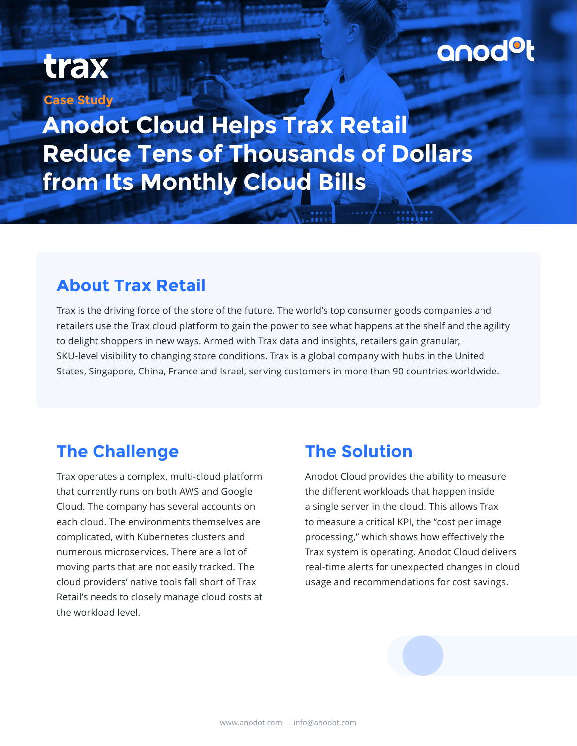## anodot

## trax

**Case Study**

**Anodot Cloud Helps Trax Retail Reduce Tens of Thousands of Dollars from Its Monthly Cloud Bills**

#### **About Trax Retail**

Trax is the driving force of the store of the future. The world's top consumer goods companies and retailers use the Trax cloud platform to gain the power to see what happens at the shelf and the agility to delight shoppers in new ways. Armed with Trax data and insights, retailers gain granular, SKU-level visibility to changing store conditions. Trax is a global company with hubs in the United States, Singapore, China, France and Israel, serving customers in more than 90 countries worldwide.

#### **The Challenge**

Trax operates a complex, multi-cloud platform that currently runs on both AWS and Google Cloud. The company has several accounts on each cloud. The environments themselves are complicated, with Kubernetes clusters and numerous microservices. There are a lot of moving parts that are not easily tracked. The cloud providers' native tools fall short of Trax Retail's needs to closely manage cloud costs at the workload level.

#### **The Solution**

Anodot Cloud provides the ability to measure the different workloads that happen inside a single server in the cloud. This allows Trax to measure a critical KPI, the "cost per image processing," which shows how effectively the Trax system is operating. Anodot Cloud delivers real-time alerts for unexpected changes in cloud usage and recommendations for cost savings.

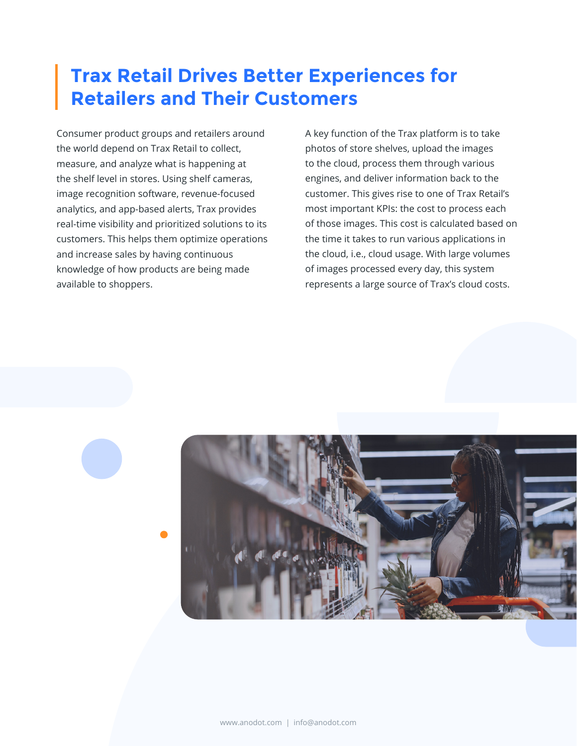#### **Trax Retail Drives Better Experiences for Retailers and Their Customers**

Consumer product groups and retailers around the world depend on Trax Retail to collect, measure, and analyze what is happening at the shelf level in stores. Using shelf cameras, image recognition software, revenue-focused analytics, and app-based alerts, Trax provides real-time visibility and prioritized solutions to its customers. This helps them optimize operations and increase sales by having continuous knowledge of how products are being made available to shoppers.

A key function of the Trax platform is to take photos of store shelves, upload the images to the cloud, process them through various engines, and deliver information back to the customer. This gives rise to one of Trax Retail's most important KPIs: the cost to process each of those images. This cost is calculated based on the time it takes to run various applications in the cloud, i.e., cloud usage. With large volumes of images processed every day, this system represents a large source of Trax's cloud costs.

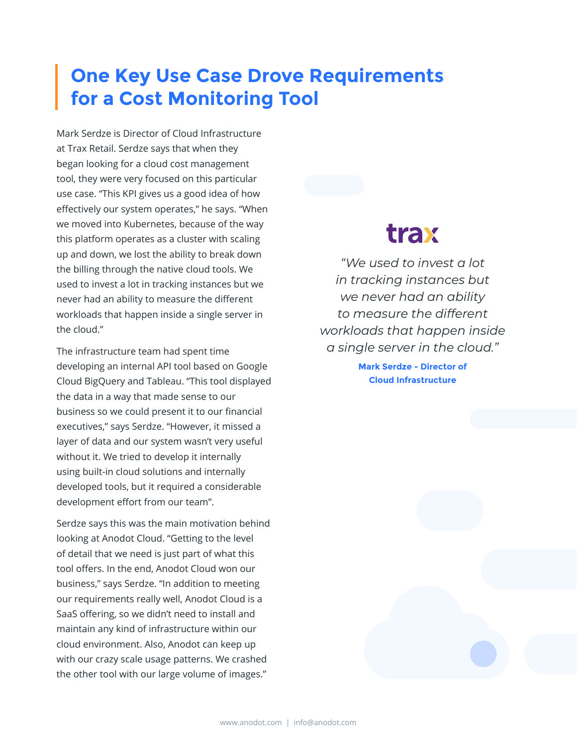#### **One Key Use Case Drove Requirements for a Cost Monitoring Tool**

Mark Serdze is Director of Cloud Infrastructure at Trax Retail. Serdze says that when they began looking for a cloud cost management tool, they were very focused on this particular use case. "This KPI gives us a good idea of how effectively our system operates," he says. "When we moved into Kubernetes, because of the way this platform operates as a cluster with scaling up and down, we lost the ability to break down the billing through the native cloud tools. We used to invest a lot in tracking instances but we never had an ability to measure the different workloads that happen inside a single server in the cloud."

The infrastructure team had spent time developing an internal API tool based on Google Cloud BigQuery and Tableau. "This tool displayed the data in a way that made sense to our business so we could present it to our financial executives," says Serdze. "However, it missed a layer of data and our system wasn't very useful without it. We tried to develop it internally using built-in cloud solutions and internally developed tools, but it required a considerable development effort from our team".

Serdze says this was the main motivation behind looking at Anodot Cloud. "Getting to the level of detail that we need is just part of what this tool offers. In the end, Anodot Cloud won our business," says Serdze. "In addition to meeting our requirements really well, Anodot Cloud is a SaaS offering, so we didn't need to install and maintain any kind of infrastructure within our cloud environment. Also, Anodot can keep up with our crazy scale usage patterns. We crashed the other tool with our large volume of images."

### trax

*"We used to invest a lot in tracking instances but we never had an ability to measure the different workloads that happen inside a single server in the cloud."*

> **Mark Serdze - Director of Cloud Infrastructure**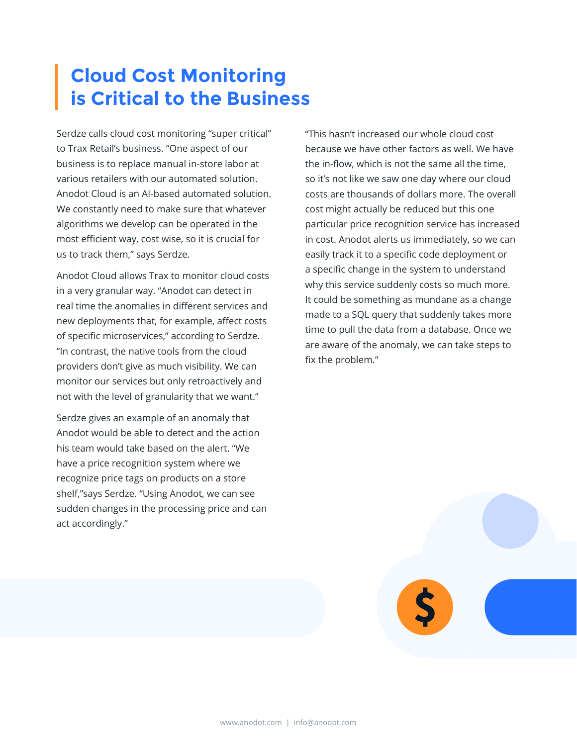#### **Cloud Cost Monitoring is Critical to the Business**

Serdze calls cloud cost monitoring "super critical" to Trax Retail's business. "One aspect of our business is to replace manual in-store labor at various retailers with our automated solution. Anodot Cloud is an AI-based automated solution. We constantly need to make sure that whatever algorithms we develop can be operated in the most efficient way, cost wise, so it is crucial for us to track them," says Serdze.

Anodot Cloud allows Trax to monitor cloud costs in a very granular way. "Anodot can detect in real time the anomalies in different services and new deployments that, for example, affect costs of specific microservices," according to Serdze. "In contrast, the native tools from the cloud providers don't give as much visibility. We can monitor our services but only retroactively and not with the level of granularity that we want."

Serdze gives an example of an anomaly that Anodot would be able to detect and the action his team would take based on the alert. "We have a price recognition system where we recognize price tags on products on a store shelf,"says Serdze. "Using Anodot, we can see sudden changes in the processing price and can act accordingly."

"This hasn't increased our whole cloud cost because we have other factors as well. We have the in-flow, which is not the same all the time, so it's not like we saw one day where our cloud costs are thousands of dollars more. The overall cost might actually be reduced but this one particular price recognition service has increased in cost. Anodot alerts us immediately, so we can easily track it to a specific code deployment or a specific change in the system to understand why this service suddenly costs so much more. It could be something as mundane as a change made to a SQL query that suddenly takes more time to pull the data from a database. Once we are aware of the anomaly, we can take steps to fix the problem."